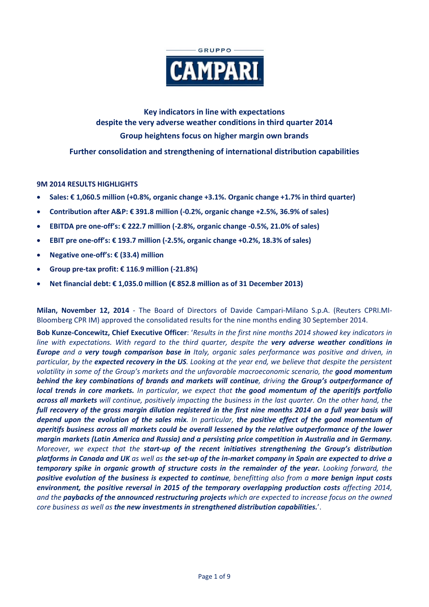

**Key indicators in line with expectations despite the very adverse weather conditions in third quarter 2014 Group heightens focus on higher margin own brands** 

**Further consolidation and strengthening of international distribution capabilities**

# **9M 2014 RESULTS HIGHLIGHTS**

- **Sales: € 1,060.5 million (+0.8%, organic change +3.1%. Organic change +1.7% in third quarter)**
- **Contribution after A&P: € 391.8 million (-0.2%, organic change +2.5%, 36.9% of sales)**
- **EBITDA pre one-off's: € 222.7 million (-2.8%, organic change -0.5%, 21.0% of sales)**
- **EBIT pre one-off's: € 193.7 million (-2.5%, organic change +0.2%, 18.3% of sales)**
- **Negative one-off's: € (33.4) million**
- **Group pre-tax profit: € 116.9 million (-21.8%)**
- **Net financial debt: € 1,035.0 million (€ 852.8 million as of 31 December 2013)**

**Milan, November 12, 2014** - The Board of Directors of Davide Campari-Milano S.p.A. (Reuters CPRI.MI-Bloomberg CPR IM) approved the consolidated results for the nine months ending 30 September 2014.

**Bob Kunze-Concewitz, Chief Executive Officer**: '*Results in the first nine months 2014 showed key indicators in line with expectations. With regard to the third quarter, despite the very adverse weather conditions in Europe and a very tough comparison base in Italy, organic sales performance was positive and driven, in particular, by the expected recovery in the US. Looking at the year end, we believe that despite the persistent volatility in some of the Group's markets and the unfavorable macroeconomic scenario, the good momentum behind the key combinations of brands and markets will continue, driving the Group's outperformance of local trends in core markets. In particular, we expect that the good momentum of the aperitifs portfolio across all markets will continue, positively impacting the business in the last quarter. On the other hand, the full recovery of the gross margin dilution registered in the first nine months 2014 on a full year basis will depend upon the evolution of the sales mix. In particular, the positive effect of the good momentum of aperitifs business across all markets could be overall lessened by the relative outperformance of the lower margin markets (Latin America and Russia) and a persisting price competition in Australia and in Germany. Moreover, we expect that the start-up of the recent initiatives strengthening the Group's distribution platforms in Canada and UK as well as the set-up of the in-market company in Spain are expected to drive a temporary spike in organic growth of structure costs in the remainder of the year. Looking forward, the positive evolution of the business is expected to continue, benefitting also from a more benign input costs environment, the positive reversal in 2015 of the temporary overlapping production costs affecting 2014, and the paybacks of the announced restructuring projects which are expected to increase focus on the owned core business as well as the new investments in strengthened distribution capabilities.*'.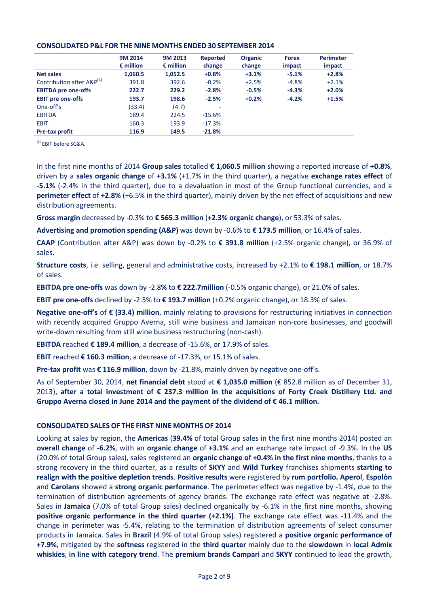|                            | 9M 2014            | 9M 2013            | Reported | <b>Organic</b> | <b>Forex</b> | <b>Perimeter</b> |
|----------------------------|--------------------|--------------------|----------|----------------|--------------|------------------|
|                            | $\epsilon$ million | $\epsilon$ million | change   | change         | impact       | impact           |
| <b>Net sales</b>           | 1,060.5            | 1,052.5            | $+0.8%$  | $+3.1%$        | $-5.1%$      | $+2.8%$          |
| Contribution after A&P(1)  | 391.8              | 392.6              | $-0.2%$  | $+2.5%$        | $-4.8%$      | $+2.1%$          |
| <b>EBITDA pre one-offs</b> | 222.7              | 229.2              | $-2.8%$  | $-0.5%$        | $-4.3%$      | $+2.0%$          |
| <b>EBIT pre one-offs</b>   | 193.7              | 198.6              | $-2.5%$  | $+0.2%$        | $-4.2%$      | $+1.5%$          |
| One-off's                  | (33.4)             | (4.7)              |          |                |              |                  |
| <b>EBITDA</b>              | 189.4              | 224.5              | $-15.6%$ |                |              |                  |
| <b>EBIT</b>                | 160.3              | 193.9              | $-17.3%$ |                |              |                  |
| <b>Pre-tax profit</b>      | 116.9              | 149.5              | $-21.8%$ |                |              |                  |

### **CONSOLIDATED P&L FOR THE NINE MONTHS ENDED 30 SEPTEMBER 2014**

(1) EBIT before SG&A.

In the first nine months of 2014 **Group sales** totalled **€ 1,060.5 million** showing a reported increase of **+0.8%**, driven by a **sales organic change** of **+3.1%** (+1.7% in the third quarter), a negative **exchange rates effect** of **-5.1%** (-2.4% in the third quarter), due to a devaluation in most of the Group functional currencies, and a **perimeter effect** of **+2.8%** (+6.5% in the third quarter), mainly driven by the net effect of acquisitions and new distribution agreements.

**Gross margin** decreased by -0.3% to **€ 565.3 million** (**+2.3% organic change**), or 53.3% of sales.

**Advertising and promotion spending (A&P)** was down by -0.6% to **€ 173.5 million**, or 16.4% of sales.

**CAAP** (Contribution after A&P) was down by -0.2% to **€ 391.8 million** (+2.5% organic change), or 36.9% of sales.

**Structure costs**, i.e. selling, general and administrative costs, increased by +2.1% to **€ 198.1 million**, or 18.7% of sales.

**EBITDA pre one-offs** was down by -2.8**%** to **€ 222.7million** (-0.5% organic change), or 21.0% of sales.

**EBIT pre one-offs** declined by -2.5% to **€ 193.7 million** (+0.2% organic change), or 18.3% of sales.

**Negative one-off's** of **€ (33.4) million**, mainly relating to provisions for restructuring initiatives in connection with recently acquired Gruppo Averna, still wine business and Jamaican non-core businesses, and goodwill write-down resulting from still wine business restructuring (non-cash).

**EBITDA** reached **€ 189.4 million**, a decrease of -15.6%, or 17.9% of sales.

**EBIT** reached **€ 160.3 million**, a decrease of -17.3%, or 15.1% of sales.

**Pre-tax profit** was **€ 116.9 million**, down by -21.8%, mainly driven by negative one-off's.

As of September 30, 2014, **net financial debt** stood at **€ 1,035.0 million** (€ 852.8 million as of December 31, 2013), **after a total investment of € 237.3 million in the acquisitions of Forty Creek Distillery Ltd. and Gruppo Averna closed in June 2014 and the payment of the dividend of € 46.1 million.**

# **CONSOLIDATED SALES OF THE FIRST NINE MONTHS OF 2014**

Looking at sales by region, the **Americas** (**39.4%** of total Group sales in the first nine months 2014) posted an **overall change** of **-6.2%**, with an **organic change** of **+3.1%** and an exchange rate impact of -9.3%. In the **US** (20.0% of total Group sales), sales registered an **organic change of +0.4% in the first nine months**, thanks to a strong recovery in the third quarter, as a results of **SKYY** and **Wild Turkey** franchises shipments **starting to realign with the positive depletion trends**. **Positive results** were registered by **rum portfolio. Aperol**, **Espolòn** and **Carolans** showed a **strong organic performance**. The perimeter effect was negative by -1.4%, due to the termination of distribution agreements of agency brands. The exchange rate effect was negative at -2.8%. Sales in **Jamaica** (7.0% of total Group sales) declined organically by -6.1% in the first nine months, showing **positive organic performance in the third quarter (+2.1%)**. The exchange rate effect was -11.4% and the change in perimeter was -5.4%, relating to the termination of distribution agreements of select consumer products in Jamaica. Sales in **Brazil** (4.9% of total Group sales) registered a **positive organic performance of +7.9%**, mitigated by the **softness** registered in the **third quarter** mainly due to the **slowdown** in **local Admix whiskies**, **in line with category trend**. The **premium brands Campari** and **SKYY** continued to lead the growth,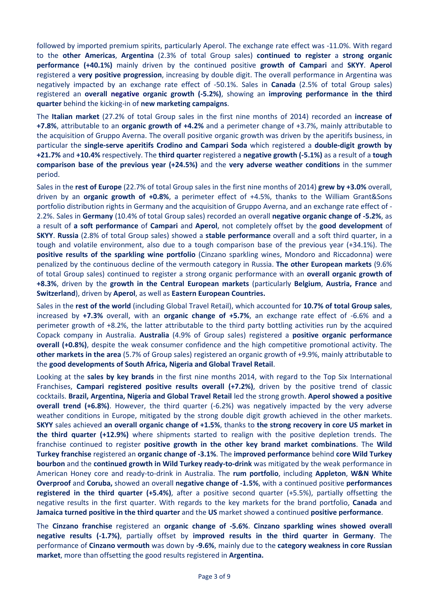followed by imported premium spirits, particularly Aperol. The exchange rate effect was -11.0%. With regard to the **other Americas**, **Argentina** (2.3% of total Group sales) **continued to register** a **strong organic performance (+40.1%)** mainly driven by the continued positive **growth of Campari** and **SKYY**. **Aperol** registered a **very positive progression**, increasing by double digit. The overall performance in Argentina was negatively impacted by an exchange rate effect of -50.1%. Sales in **Canada** (2.5% of total Group sales) registered an **overall negative organic growth (-5.2%)**, showing an **improving performance in the third quarter** behind the kicking-in of **new marketing campaigns**.

The **Italian market** (27.2% of total Group sales in the first nine months of 2014) recorded an **increase of +7.8%**, attributable to an **organic growth of +4.2%** and a perimeter change of +3.7%, mainly attributable to the acquisition of Gruppo Averna. The overall positive organic growth was driven by the aperitifs business, in particular the **single-serve aperitifs Crodino and Campari Soda** which registered a **double-digit growth by +21.7%** and **+10.4%** respectively. The **third quarter** registered a **negative growth (-5.1%)** as a result of a **tough comparison base of the previous year (+24.5%)** and the **very adverse weather conditions** in the summer period.

Sales in the **rest of Europe** (22.7% of total Group sales in the first nine months of 2014) **grew by +3.0%** overall, driven by an **organic growth of +0.8%**, a perimeter effect of +4.5%, thanks to the William Grant&Sons portfolio distribution rights in Germany and the acquisition of Gruppo Averna, and an exchange rate effect of - 2.2%. Sales in **Germany** (10.4% of total Group sales) recorded an overall **negative organic change of -5.2%**, as a result of **a soft performance** of **Campari** and **Aperol**, not completely offset by the **good development** of **SKYY**. **Russia** (2.8% of total Group sales) showed a **stable performance** overall and a soft third quarter, in a tough and volatile environment, also due to a tough comparison base of the previous year (+34.1%). The **positive results of the sparkling wine portfolio** (Cinzano sparkling wines, Mondoro and Riccadonna) were penalized by the continuous decline of the vermouth category in Russia. **The other European markets** (9.6% of total Group sales) continued to register a strong organic performance with an **overall organic growth of +8.3%**, driven by the **growth in the Central European markets** (particularly **Belgium**, **Austria, France** and **Switzerland**), driven by **Aperol**, as well as **Eastern European Countries.**

Sales in the **rest of the world** (including Global Travel Retail), which accounted for **10.7% of total Group sales**, increased by **+7.3%** overall, with an **organic change of +5.7%**, an exchange rate effect of -6.6% and a perimeter growth of +8.2%, the latter attributable to the third party bottling activities run by the acquired Copack company in Australia. **Australia** (4.9% of Group sales) registered a **positive organic performance overall (+0.8%)**, despite the weak consumer confidence and the high competitive promotional activity. The **other markets in the area** (5.7% of Group sales) registered an organic growth of +9.9%, mainly attributable to the **good developments of South Africa, Nigeria and Global Travel Retail**.

Looking at the **sales by key brands** in the first nine months 2014, with regard to the Top Six International Franchises, **Campari registered positive results overall (+7.2%)**, driven by the positive trend of classic cocktails. **Brazil, Argentina, Nigeria and Global Travel Retail** led the strong growth. **Aperol showed a positive overall trend (+6.8%)**. However, the third quarter (-6.2%) was negatively impacted by the very adverse weather conditions in Europe, mitigated by the strong double digit growth achieved in the other markets. **SKYY** sales achieved **an overall organic change of +1.5%**, thanks to **the strong recovery in core US market in the third quarter (+12.9%)** where shipments started to realign with the positive depletion trends. The franchise continued to register **positive growth in the other key brand market combinations**. The **Wild Turkey franchise** registered an **organic change of -3.1%**. The **improved performance** behind **core Wild Turkey bourbon** and the **continued growth in Wild Turkey ready-to-drink** was mitigated by the weak performance in American Honey core and ready-to-drink in Australia. The **rum portfolio**, including **Appleton**, **W&N White Overproof** and **Coruba,** showed an overall **negative change of -1.5%**, with a continued positive **performances registered in the third quarter (+5.4%)**, after a positive second quarter (+5.5%), partially offsetting the negative results in the first quarter. With regards to the key markets for the brand portfolio, **Canada** and **Jamaica turned positive in the third quarter** and the **US** market showed a continued **positive performance**.

The **Cinzano franchise** registered an **organic change of -5.6%**. **Cinzano sparkling wines showed overall negative results (-1.7%)**, partially offset by **improved results in the third quarter in Germany**. The performance of **Cinzano vermouth** was down by **-9.6%**, mainly due to the **category weakness in core Russian market**, more than offsetting the good results registered in **Argentina.**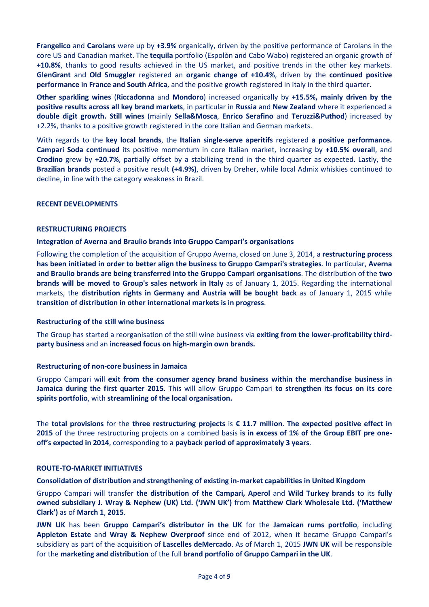**Frangelico** and **Carolans** were up by **+3.9%** organically, driven by the positive performance of Carolans in the core US and Canadian market. The **tequila** portfolio (Espolòn and Cabo Wabo) registered an organic growth of **+10.8%**, thanks to good results achieved in the US market, and positive trends in the other key markets. **GlenGrant** and **Old Smuggler** registered an **organic change of +10.4%**, driven by the **continued positive performance in France and South Africa**, and the positive growth registered in Italy in the third quarter.

**Other sparkling wines** (**Riccadonna** and **Mondoro**) increased organically by **+15.5%, mainly driven by the positive results across all key brand markets**, in particular in **Russia** and **New Zealand** where it experienced a **double digit growth. Still wines** (mainly **Sella&Mosca**, **Enrico Serafino** and **Teruzzi&Puthod**) increased by +2.2%, thanks to a positive growth registered in the core Italian and German markets.

With regards to the **key local brands**, the **Italian single-serve aperitifs** registered **a positive performance. Campari Soda continued** its positive momentum in core Italian market, increasing by **+10.5% overall**, and **Crodino** grew by **+20.7%**, partially offset by a stabilizing trend in the third quarter as expected. Lastly, the **Brazilian brands** posted a positive result **(+4.9%)**, driven by Dreher, while local Admix whiskies continued to decline, in line with the category weakness in Brazil.

# **RECENT DEVELOPMENTS**

# **RESTRUCTURING PROJECTS**

# **Integration of Averna and Braulio brands into Gruppo Campari's organisations**

Following the completion of the acquisition of Gruppo Averna, closed on June 3, 2014, a **restructuring process has been initiated in order to better align the business to Gruppo Campari's strategies**. In particular, **Averna and Braulio brands are being transferred into the Gruppo Campari organisations**. The distribution of the **two brands will be moved to Group's sales network in Italy** as of January 1, 2015. Regarding the international markets, the **distribution rights in Germany and Austria will be bought back** as of January 1, 2015 while **transition of distribution in other international markets is in progress**.

# **Restructuring of the still wine business**

The Group has started a reorganisation of the still wine business via **exiting from the lower-profitability thirdparty business** and an **increased focus on high-margin own brands.**

# **Restructuring of non-core business in Jamaica**

Gruppo Campari will **exit from the consumer agency brand business within the merchandise business in Jamaica during the first quarter 2015**. This will allow Gruppo Campari **to strengthen its focus on its core spirits portfolio**, with **streamlining of the local organisation.**

The **total provisions** for the **three restructuring projects** is **€ 11.7 million**. **The expected positive effect in 2015** of the three restructuring projects on a combined basis **is in excess of 1% of the Group EBIT pre oneoff's expected in 2014**, corresponding to a **payback period of approximately 3 years**.

# **ROUTE-TO-MARKET INITIATIVES**

**Consolidation of distribution and strengthening of existing in-market capabilities in United Kingdom**

Gruppo Campari will transfer **the distribution of the Campari, Aperol** and **Wild Turkey brands** to its **fully owned subsidiary J. Wray & Nephew (UK) Ltd. ('JWN UK')** from **Matthew Clark Wholesale Ltd. ('Matthew Clark')** as of **March 1**, **2015**.

**JWN UK** has been **Gruppo Campari's distributor in the UK** for the **Jamaican rums portfolio**, including **Appleton Estate** and **Wray & Nephew Overproof** since end of 2012, when it became Gruppo Campari's subsidiary as part of the acquisition of **Lascelles deMercado**. As of March 1, 2015 **JWN UK** will be responsible for the **marketing and distribution** of the full **brand portfolio of Gruppo Campari in the UK**.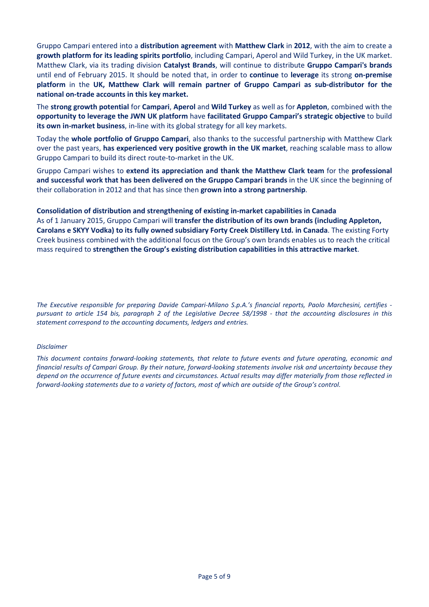Gruppo Campari entered into a **distribution agreement** with **Matthew Clark** in **2012**, with the aim to create a **growth platform for its leading spirits portfolio**, including Campari, Aperol and Wild Turkey, in the UK market. Matthew Clark, via its trading division **Catalyst Brands**, will continue to distribute **Gruppo Campari's brands** until end of February 2015. It should be noted that, in order to **continue** to **leverage** its strong **on-premise platform** in the **UK, Matthew Clark will remain partner of Gruppo Campari as sub-distributor for the national on-trade accounts in this key market.** 

The **strong growth potential** for **Campari**, **Aperol** and **Wild Turkey** as well as for **Appleton**, combined with the **opportunity to leverage the JWN UK platform** have **facilitated Gruppo Campari's strategic objective** to build **its own in-market business**, in-line with its global strategy for all key markets.

Today the **whole portfolio of Gruppo Campari**, also thanks to the successful partnership with Matthew Clark over the past years, **has experienced very positive growth in the UK market**, reaching scalable mass to allow Gruppo Campari to build its direct route-to-market in the UK.

Gruppo Campari wishes to **extend its appreciation and thank the Matthew Clark team** for the **professional and successful work that has been delivered on the Gruppo Campari brands** in the UK since the beginning of their collaboration in 2012 and that has since then **grown into a strong partnership**.

**Consolidation of distribution and strengthening of existing in-market capabilities in Canada** As of 1 January 2015, Gruppo Campari will **transfer the distribution of its own brands (including Appleton, Carolans e SKYY Vodka) to its fully owned subsidiary Forty Creek Distillery Ltd. in Canada**. The existing Forty Creek business combined with the additional focus on the Group's own brands enables us to reach the critical mass required to **strengthen the Group's existing distribution capabilities in this attractive market**.

*The Executive responsible for preparing Davide Campari-Milano S.p.A.'s financial reports, Paolo Marchesini, certifies pursuant to article 154 bis, paragraph 2 of the Legislative Decree 58/1998 - that the accounting disclosures in this statement correspond to the accounting documents, ledgers and entries.* 

#### *Disclaimer*

*This document contains forward-looking statements, that relate to future events and future operating, economic and financial results of Campari Group. By their nature, forward-looking statements involve risk and uncertainty because they depend on the occurrence of future events and circumstances. Actual results may differ materially from those reflected in forward-looking statements due to a variety of factors, most of which are outside of the Group's control.*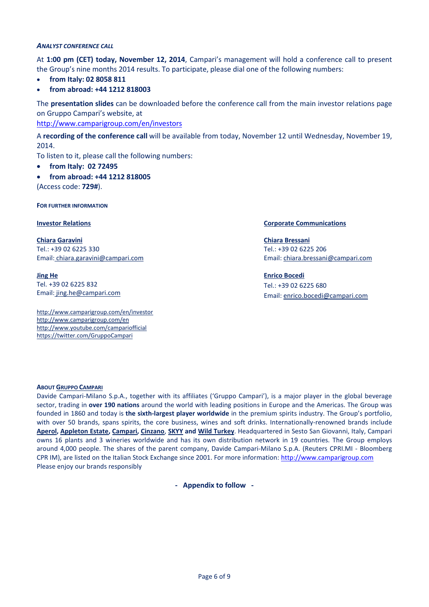#### *ANALYST CONFERENCE CALL*

At **1:00 pm (CET) today, November 12, 2014**, Campari's management will hold a conference call to present the Group's nine months 2014 results. To participate, please dial one of the following numbers:

- **from Italy: 02 8058 811**
- **from abroad: +44 1212 818003**

The **presentation slides** can be downloaded before the conference call from the main investor relations page on Gruppo Campari's website, at

<http://www.camparigroup.com/en/investors>

A **recording of the conference call** will be available from today, November 12 until Wednesday, November 19, 2014.

To listen to it, please call the following numbers:

- **from Italy: 02 72495**
- **from abroad: +44 1212 818005**

(Access code: **729#**).

**FOR FURTHER INFORMATION**

**Chiara Garavini** Tel.: +39 02 6225 330 Email: [chiara.garavini@campari.com](mailto:chiara.garavini@campari.com)

**Jing He** Tel. +39 02 6225 832 Email: jing.he@campari.com

http://www.camparigroup.com/en/investor http://www.camparigroup.com/en http://www.youtube.com/campariofficial <https://twitter.com/GruppoCampari>

#### **Investor Relations Corporate Communications**

**Chiara Bressani** Tel.: +39 02 6225 206 Email[: chiara.bressani@campari.com](mailto:chiara.bressani@campari.com)

**Enrico Bocedi** Tel.: +39 02 6225 680 Email: enrico.bocedi@campari.com

#### **ABOU[T GRUPPO CAMPARI](http://www.camparigroup.com/en/index.shtml)**

Davide Campari-Milano S.p.A., together with its affiliates ('Gruppo Campari'), is a major player in the global beverage sector, trading in **over 190 nations** around the world with leading positions in Europe and the Americas. The Group was founded in 1860 and today is **the sixth-largest player worldwide** in the premium spirits industry. The Group's portfolio, with over 50 brands, spans spirits, the core business, wines and soft drinks. Internationally-renowned brands include **[Aperol,](http://www.aperol.com/?http%3A//www.aperol.com/) [Appleton](http://www.appletonestate.com/) Estate, [Campari,](http://www.campari.com/) [Cinzano](http://www.cinzano.com/)**, **[SKYY](http://www.skyy.com/) and [Wild Turkey](http://www.wildturkeybourbon.com.au/)**. Headquartered in Sesto San Giovanni, Italy, Campari owns 16 plants and 3 wineries worldwide and has its own distribution network in 19 countries. The Group employs around 4,000 people. The shares of the parent company, Davide Campari-Milano S.p.A. (Reuters CPRI.MI - Bloomberg CPR IM), are listed on the Italian Stock Exchange since 2001. For more information: [http://www.camparigroup.com](http://www.camparigroup.com/) Please enjoy our brands responsibly

**- Appendix to follow -**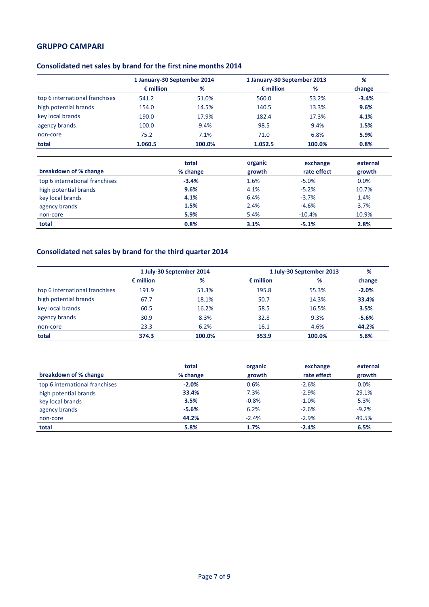# **GRUPPO CAMPARI**

# **Consolidated net sales by brand for the first nine months 2014**

|                                | 1 January-30 September 2014 |        | 1 January-30 September 2013 |        | %       |  |
|--------------------------------|-----------------------------|--------|-----------------------------|--------|---------|--|
|                                | $\epsilon$ million          | %      | $\epsilon$ million          | %      | change  |  |
| top 6 international franchises | 541.2                       | 51.0%  | 560.0                       | 53.2%  | $-3.4%$ |  |
| high potential brands          | 154.0                       | 14.5%  | 140.5                       | 13.3%  | 9.6%    |  |
| key local brands               | 190.0                       | 17.9%  | 182.4                       | 17.3%  | 4.1%    |  |
| agency brands                  | 100.0                       | 9.4%   | 98.5                        | 9.4%   | 1.5%    |  |
| non-core                       | 75.2                        | 7.1%   | 71.0                        | 6.8%   | 5.9%    |  |
| total                          | 1.060.5                     | 100.0% | 1.052.5                     | 100.0% | 0.8%    |  |

|                                | total    | organic | exchange    | external |
|--------------------------------|----------|---------|-------------|----------|
| breakdown of % change          | % change | growth  | rate effect | growth   |
| top 6 international franchises | $-3.4%$  | 1.6%    | $-5.0%$     | 0.0%     |
| high potential brands          | 9.6%     | 4.1%    | $-5.2%$     | 10.7%    |
| key local brands               | 4.1%     | 6.4%    | $-3.7%$     | 1.4%     |
| agency brands                  | 1.5%     | 2.4%    | $-4.6%$     | 3.7%     |
| non-core                       | 5.9%     | 5.4%    | $-10.4%$    | 10.9%    |
| total                          | 0.8%     | 3.1%    | $-5.1%$     | 2.8%     |

# **Consolidated net sales by brand for the third quarter 2014**

|                                | 1 July-30 September 2014 |        | 1 July-30 September 2013 | %      |         |
|--------------------------------|--------------------------|--------|--------------------------|--------|---------|
|                                | $\epsilon$ million       | %      | $\epsilon$ million       | %      | change  |
| top 6 international franchises | 191.9                    | 51.3%  | 195.8                    | 55.3%  | $-2.0%$ |
| high potential brands          | 67.7                     | 18.1%  | 50.7                     | 14.3%  | 33.4%   |
| key local brands               | 60.5                     | 16.2%  | 58.5                     | 16.5%  | 3.5%    |
| agency brands                  | 30.9                     | 8.3%   | 32.8                     | 9.3%   | $-5.6%$ |
| non-core                       | 23.3                     | 6.2%   | 16.1                     | 4.6%   | 44.2%   |
| total                          | 374.3                    | 100.0% | 353.9                    | 100.0% | 5.8%    |

| breakdown of % change          | total<br>% change | organic<br>growth | exchange<br>rate effect | external<br>growth |
|--------------------------------|-------------------|-------------------|-------------------------|--------------------|
| top 6 international franchises | $-2.0%$           | 0.6%              | $-2.6%$                 | 0.0%               |
| high potential brands          | 33.4%             | 7.3%              | $-2.9%$                 | 29.1%              |
| key local brands               | 3.5%              | $-0.8%$           | $-1.0%$                 | 5.3%               |
| agency brands                  | $-5.6%$           | 6.2%              | $-2.6%$                 | $-9.2%$            |
| non-core                       | 44.2%             | $-2.4%$           | $-2.9%$                 | 49.5%              |
| total                          | 5.8%              | 1.7%              | $-2.4%$                 | 6.5%               |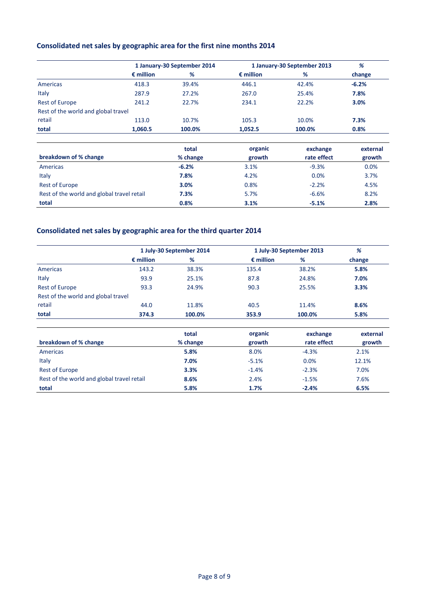# **Consolidated net sales by geographic area for the first nine months 2014**

|                                     |                    | 1 January-30 September 2014 |                    | 1 January-30 September 2013 |         |  |
|-------------------------------------|--------------------|-----------------------------|--------------------|-----------------------------|---------|--|
|                                     | $\epsilon$ million | %                           | $\epsilon$ million | %                           | change  |  |
| Americas                            | 418.3              | 39.4%                       | 446.1              | 42.4%                       | $-6.2%$ |  |
| Italy                               | 287.9              | 27.2%                       | 267.0              | 25.4%                       | 7.8%    |  |
| <b>Rest of Europe</b>               | 241.2              | 22.7%                       | 234.1              | 22.2%                       | 3.0%    |  |
| Rest of the world and global travel |                    |                             |                    |                             |         |  |
| retail                              | 113.0              | 10.7%                       | 105.3              | 10.0%                       | 7.3%    |  |
| total                               | 1,060.5            | 100.0%                      | 1,052.5            | 100.0%                      | 0.8%    |  |

|                                            | total    | organic | exchange    | external |
|--------------------------------------------|----------|---------|-------------|----------|
| breakdown of % change                      | % change | growth  | rate effect | growth   |
| Americas                                   | $-6.2%$  | 3.1%    | $-9.3%$     | 0.0%     |
| Italy                                      | 7.8%     | 4.2%    | 0.0%        | 3.7%     |
| <b>Rest of Europe</b>                      | 3.0%     | 0.8%    | $-2.2%$     | 4.5%     |
| Rest of the world and global travel retail | 7.3%     | 5.7%    | $-6.6%$     | 8.2%     |
| total                                      | 0.8%     | 3.1%    | $-5.1%$     | 2.8%     |

# **Consolidated net sales by geographic area for the third quarter 2014**

|                                     | 1 July-30 September 2014 |        | 1 July-30 September 2013 | %      |        |
|-------------------------------------|--------------------------|--------|--------------------------|--------|--------|
|                                     | $\epsilon$ million       | %      | $\epsilon$ million       | %      | change |
| Americas                            | 143.2                    | 38.3%  | 135.4                    | 38.2%  | 5.8%   |
| Italy                               | 93.9                     | 25.1%  | 87.8                     | 24.8%  | 7.0%   |
| <b>Rest of Europe</b>               | 93.3                     | 24.9%  | 90.3                     | 25.5%  | 3.3%   |
| Rest of the world and global travel |                          |        |                          |        |        |
| retail                              | 44.0                     | 11.8%  | 40.5                     | 11.4%  | 8.6%   |
| total                               | 374.3                    | 100.0% | 353.9                    | 100.0% | 5.8%   |

|                                            | total    | organic | exchange    | external |
|--------------------------------------------|----------|---------|-------------|----------|
| breakdown of % change                      | % change | growth  | rate effect | growth   |
| Americas                                   | 5.8%     | 8.0%    | $-4.3%$     | 2.1%     |
| Italy                                      | 7.0%     | $-5.1%$ | 0.0%        | 12.1%    |
| <b>Rest of Europe</b>                      | 3.3%     | $-1.4%$ | $-2.3%$     | 7.0%     |
| Rest of the world and global travel retail | 8.6%     | 2.4%    | $-1.5%$     | 7.6%     |
| total                                      | 5.8%     | 1.7%    | $-2.4%$     | 6.5%     |